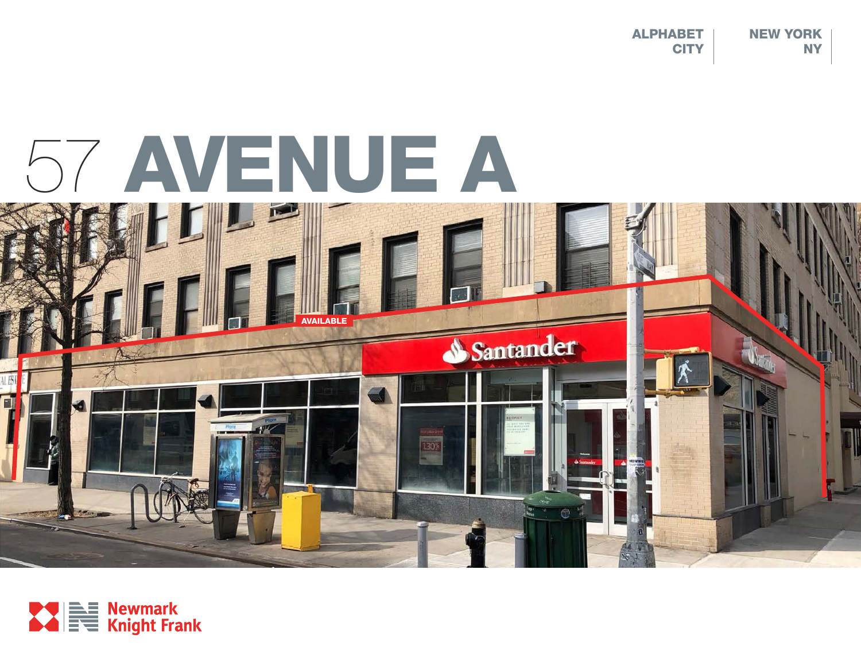NEW YORK NY ALPHABET **CITY** 

# 57 AVENUE A



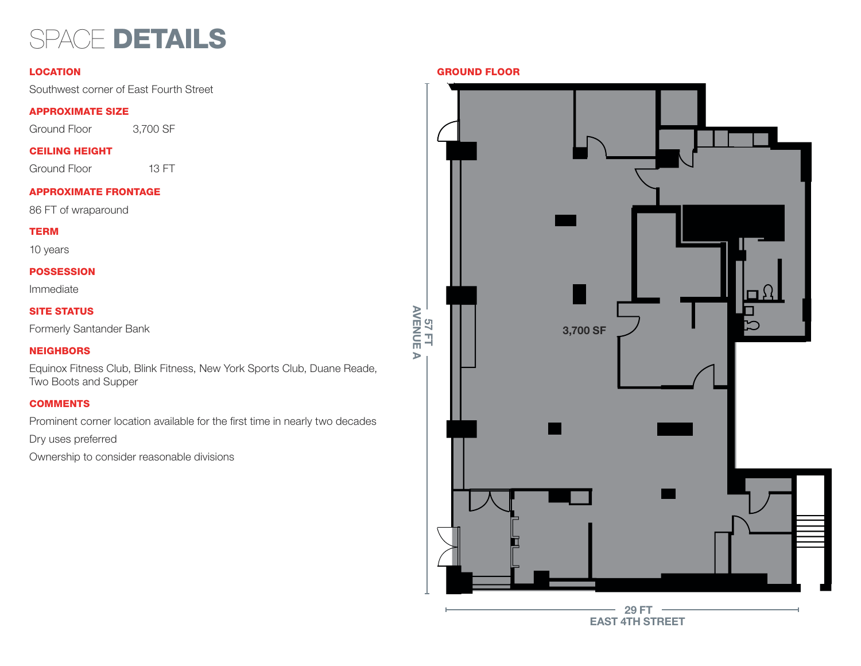## SPACE DETAILS

Southwest corner of East Fourth Street

#### APPROXIMATE SIZE

Ground Floor 3,700 SF

#### CEILING HEIGHT

Ground Floor 13 FT

#### APPROXIMATE FRONTAGE

86 FT of wraparound

#### TERM

10 years

#### **POSSESSION**

Immediate

### SITE STATUS

Formerly Santander Bank

#### **NEIGHBORS**

Equinox Fitness Club, Blink Fitness, New York Sports Club, Duane Reade, Two Boots and Supper

#### **COMMENTS**

Prominent corner location available for the first time in nearly two decades

Dry uses preferred

Ownership to consider reasonable divisions